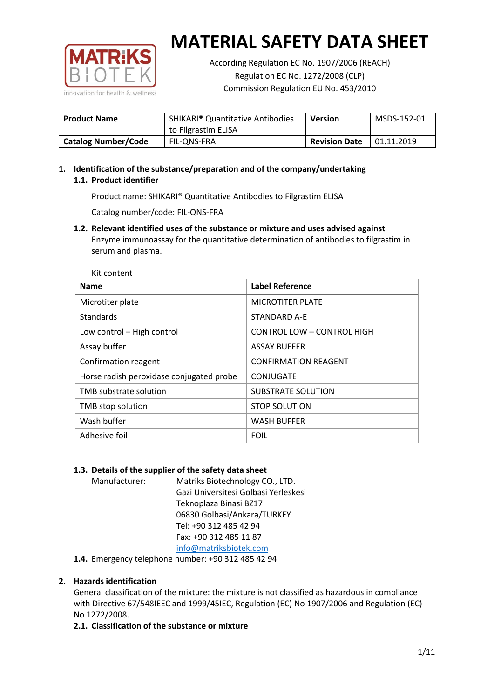

According Regulation EC No. 1907/2006 (REACH) Regulation EC No. 1272/2008 (CLP) Commission Regulation EU No. 453/2010

| <b>Product Name</b>        | <b>SHIKARI</b> <sup>®</sup> Quantitative Antibodies<br>to Filgrastim ELISA | <b>Version</b>       | MSDS-152-01 |
|----------------------------|----------------------------------------------------------------------------|----------------------|-------------|
| <b>Catalog Number/Code</b> | FIL-ONS-FRA                                                                | <b>Revision Date</b> | 01.11.2019  |

## **1. Identification of the substance/preparation and of the company/undertaking 1.1. Product identifier**

Product name: SHIKARI® Quantitative Antibodies to Filgrastim ELISA

Catalog number/code: FIL-QNS-FRA

**1.2. Relevant identified uses of the substance or mixture and uses advised against** Enzyme immunoassay for the quantitative determination of antibodies to filgrastim in serum and plasma.

| Kit content                              |                             |
|------------------------------------------|-----------------------------|
| <b>Name</b>                              | <b>Label Reference</b>      |
| Microtiter plate                         | <b>MICROTITER PLATE</b>     |
| <b>Standards</b>                         | STANDARD A-E                |
| Low control - High control               | CONTROL LOW - CONTROL HIGH  |
| Assay buffer                             | <b>ASSAY BUFFER</b>         |
| Confirmation reagent                     | <b>CONFIRMATION REAGENT</b> |
| Horse radish peroxidase conjugated probe | CONJUGATE                   |
| TMB substrate solution                   | SUBSTRATE SOLUTION          |
| TMB stop solution                        | <b>STOP SOLUTION</b>        |
| Wash buffer                              | <b>WASH BUFFER</b>          |
| Adhesive foil                            | <b>FOIL</b>                 |

## **1.3. Details of the supplier of the safety data sheet**

Manufacturer: Matriks Biotechnology CO., LTD. Gazi Universitesi Golbasi Yerleskesi Teknoplaza Binasi BZ17 06830 Golbasi/Ankara/TURKEY Tel: +90 312 485 42 94 Fax: +90 312 485 11 87 [info@matriksbiotek.com](mailto:info@matriksbiotek.com)

**1.4.** Emergency telephone number: +90 312 485 42 94

## **2. Hazards identification**

General classification of the mixture: the mixture is not classified as hazardous in compliance with Directive 67/548IEEC and 1999/45IEC, Regulation (EC) No 1907/2006 and Regulation (EC) No 1272/2008.

**2.1. Classification of the substance or mixture**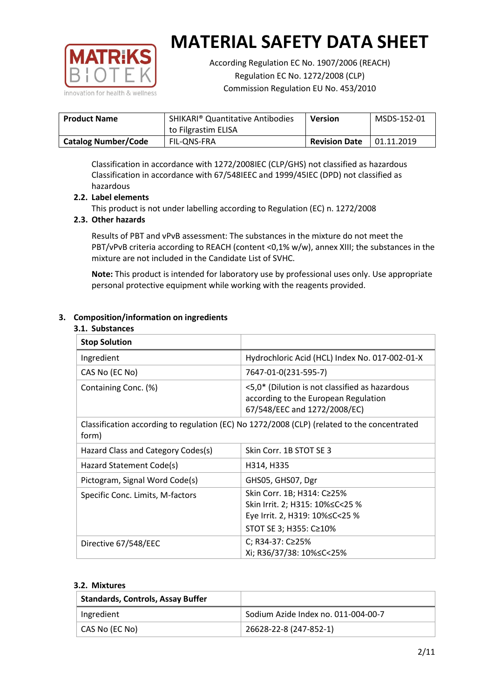

According Regulation EC No. 1907/2006 (REACH) Regulation EC No. 1272/2008 (CLP) Commission Regulation EU No. 453/2010

| <b>Product Name</b>        | <b>SHIKARI<sup>®</sup> Quantitative Antibodies</b> | <b>Version</b>       | MSDS-152-01 |
|----------------------------|----------------------------------------------------|----------------------|-------------|
|                            | to Filgrastim ELISA                                |                      |             |
| <b>Catalog Number/Code</b> | FIL-ONS-FRA                                        | <b>Revision Date</b> | 01.11.2019  |

Classification in accordance with 1272/2008IEC (CLP/GHS) not classified as hazardous Classification in accordance with 67/548IEEC and 1999/45IEC (DPD) not classified as hazardous

## **2.2. Label elements**

This product is not under labelling according to Regulation (EC) n. 1272/2008

### **2.3. Other hazards**

Results of PBT and vPvB assessment: The substances in the mixture do not meet the PBT/vPvB criteria according to REACH (content <0,1% w/w), annex XIII; the substances in the mixture are not included in the Candidate List of SVHC.

**Note:** This product is intended for laboratory use by professional uses only. Use appropriate personal protective equipment while working with the reagents provided.

### **3. Composition/information on ingredients**

#### **3.1. Substances**

| <b>Stop Solution</b>               |                                                                                                                               |
|------------------------------------|-------------------------------------------------------------------------------------------------------------------------------|
| Ingredient                         | Hydrochloric Acid (HCL) Index No. 017-002-01-X                                                                                |
| CAS No (EC No)                     | 7647-01-0(231-595-7)                                                                                                          |
| Containing Conc. (%)               | <5,0* (Dilution is not classified as hazardous<br>according to the European Regulation<br>67/548/EEC and 1272/2008/EC)        |
| form)                              | Classification according to regulation (EC) No 1272/2008 (CLP) (related to the concentrated                                   |
| Hazard Class and Category Codes(s) | Skin Corr. 1B STOT SE 3                                                                                                       |
| Hazard Statement Code(s)           | H314, H335                                                                                                                    |
| Pictogram, Signal Word Code(s)     | GHS05, GHS07, Dgr                                                                                                             |
| Specific Conc. Limits, M-factors   | Skin Corr. 1B; H314: C≥25%<br>Skin Irrit. 2; H315: 10% ≤ C < 25 %<br>Eye Irrit. 2, H319: 10%≤C<25 %<br>STOT SE 3; H355: C≥10% |
| Directive 67/548/EEC               | C; R34-37: C≥25%<br>Xi; R36/37/38: 10%≤C<25%                                                                                  |

#### **3.2. Mixtures**

| <b>Standards, Controls, Assay Buffer</b> |                                     |
|------------------------------------------|-------------------------------------|
| Ingredient                               | Sodium Azide Index no. 011-004-00-7 |
| CAS No (EC No)                           | 26628-22-8 (247-852-1)              |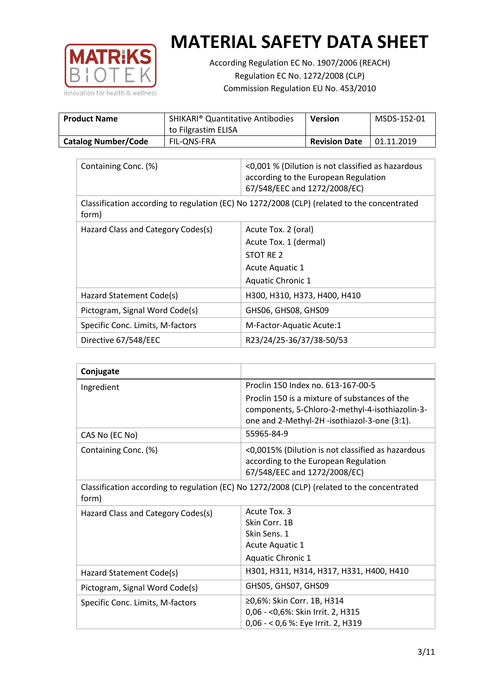

According Regulation EC No. 1907/2006 (REACH) Regulation EC No. 1272/2008 (CLP) Commission Regulation EU No. 453/2010

| <b>Product Name</b>        | <b>SHIKARI<sup>®</sup> Quantitative Antibodies</b><br>to Filgrastim ELISA | <b>Version</b>       | MSDS-152-01 |
|----------------------------|---------------------------------------------------------------------------|----------------------|-------------|
| <b>Catalog Number/Code</b> | FIL-ONS-FRA                                                               | <b>Revision Date</b> | 01.11.2019  |

| Containing Conc. (%)               | <0,001 % (Dilution is not classified as hazardous<br>according to the European Regulation<br>67/548/EEC and 1272/2008/EC) |
|------------------------------------|---------------------------------------------------------------------------------------------------------------------------|
| form)                              | Classification according to regulation (EC) No 1272/2008 (CLP) (related to the concentrated                               |
| Hazard Class and Category Codes(s) | Acute Tox. 2 (oral)                                                                                                       |
|                                    | Acute Tox. 1 (dermal)                                                                                                     |
|                                    | STOT RE 2                                                                                                                 |
|                                    | Acute Aquatic 1                                                                                                           |
|                                    | Aquatic Chronic 1                                                                                                         |
| Hazard Statement Code(s)           | H300, H310, H373, H400, H410                                                                                              |
| Pictogram, Signal Word Code(s)     | GHS06, GHS08, GHS09                                                                                                       |
| Specific Conc. Limits, M-factors   | M-Factor-Aquatic Acute:1                                                                                                  |
| Directive 67/548/EEC               | R23/24/25-36/37/38-50/53                                                                                                  |

| Conjugate                          |                                                                                                                                                  |
|------------------------------------|--------------------------------------------------------------------------------------------------------------------------------------------------|
| Ingredient                         | Proclin 150 Index no. 613-167-00-5                                                                                                               |
|                                    | Proclin 150 is a mixture of substances of the<br>components, 5-Chloro-2-methyl-4-isothiazolin-3-<br>one and 2-Methyl-2H -isothiazol-3-one (3:1). |
| CAS No (EC No)                     | 55965-84-9                                                                                                                                       |
| Containing Conc. (%)               | <0,0015% (Dilution is not classified as hazardous<br>according to the European Regulation<br>67/548/EEC and 1272/2008/EC)                        |
| form)                              | Classification according to regulation (EC) No 1272/2008 (CLP) (related to the concentrated                                                      |
| Hazard Class and Category Codes(s) | Acute Tox. 3                                                                                                                                     |
|                                    | Skin Corr. 1B                                                                                                                                    |
|                                    | Skin Sens. 1                                                                                                                                     |
|                                    | <b>Acute Aquatic 1</b>                                                                                                                           |
|                                    | Aquatic Chronic 1                                                                                                                                |
| Hazard Statement Code(s)           | H301, H311, H314, H317, H331, H400, H410                                                                                                         |
| Pictogram, Signal Word Code(s)     | GHS05, GHS07, GHS09                                                                                                                              |
| Specific Conc. Limits, M-factors   | ≥0,6%: Skin Corr. 1B, H314<br>0,06 - < 0,6%: Skin Irrit. 2, H315<br>0,06 - < 0,6 %: Eye Irrit. 2, H319                                           |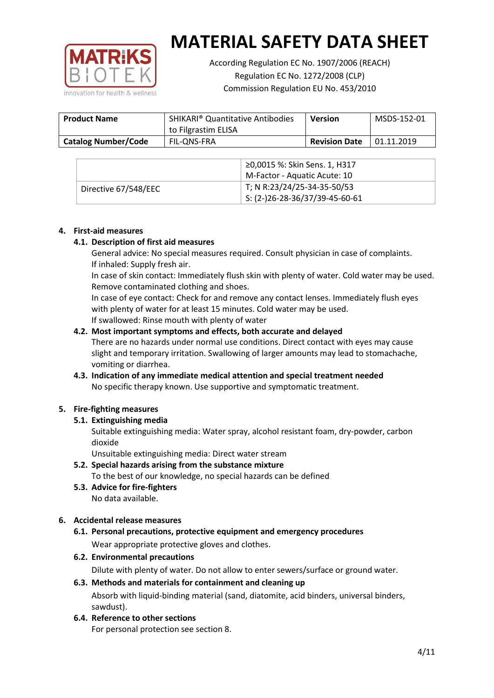

According Regulation EC No. 1907/2006 (REACH) Regulation EC No. 1272/2008 (CLP) Commission Regulation EU No. 453/2010

| <b>Product Name</b>        | <b>SHIKARI</b> <sup>®</sup> Quantitative Antibodies<br>to Filgrastim ELISA | <b>Version</b>       | MSDS-152-01 |
|----------------------------|----------------------------------------------------------------------------|----------------------|-------------|
| <b>Catalog Number/Code</b> | FIL-ONS-FRA                                                                | <b>Revision Date</b> | 01.11.2019  |

|                      | ≥0,0015 %: Skin Sens. 1, H317                |
|----------------------|----------------------------------------------|
|                      | M-Factor - Aquatic Acute: 10                 |
| Directive 67/548/EEC | T; N R:23/24/25-34-35-50/53                  |
|                      | $\frac{1}{1}$ S: (2-)26-28-36/37/39-45-60-61 |

### **4. First-aid measures**

### **4.1. Description of first aid measures**

General advice: No special measures required. Consult physician in case of complaints. If inhaled: Supply fresh air.

In case of skin contact: Immediately flush skin with plenty of water. Cold water may be used. Remove contaminated clothing and shoes.

In case of eye contact: Check for and remove any contact lenses. Immediately flush eyes with plenty of water for at least 15 minutes. Cold water may be used. If swallowed: Rinse mouth with plenty of water

### **4.2. Most important symptoms and effects, both accurate and delayed**

There are no hazards under normal use conditions. Direct contact with eyes may cause slight and temporary irritation. Swallowing of larger amounts may lead to stomachache, vomiting or diarrhea.

## **4.3. Indication of any immediate medical attention and special treatment needed** No specific therapy known. Use supportive and symptomatic treatment.

## **5. Fire-fighting measures**

## **5.1. Extinguishing media**

Suitable extinguishing media: Water spray, alcohol resistant foam, dry-powder, carbon dioxide

Unsuitable extinguishing media: Direct water stream

- **5.2. Special hazards arising from the substance mixture** To the best of our knowledge, no special hazards can be defined
- **5.3. Advice for fire-fighters** No data available.

## **6. Accidental release measures**

- **6.1. Personal precautions, protective equipment and emergency procedures** Wear appropriate protective gloves and clothes.
- **6.2. Environmental precautions**

Dilute with plenty of water. Do not allow to enter sewers/surface or ground water.

#### **6.3. Methods and materials for containment and cleaning up**

Absorb with liquid-binding material (sand, diatomite, acid binders, universal binders, sawdust).

**6.4. Reference to other sections**

For personal protection see section 8.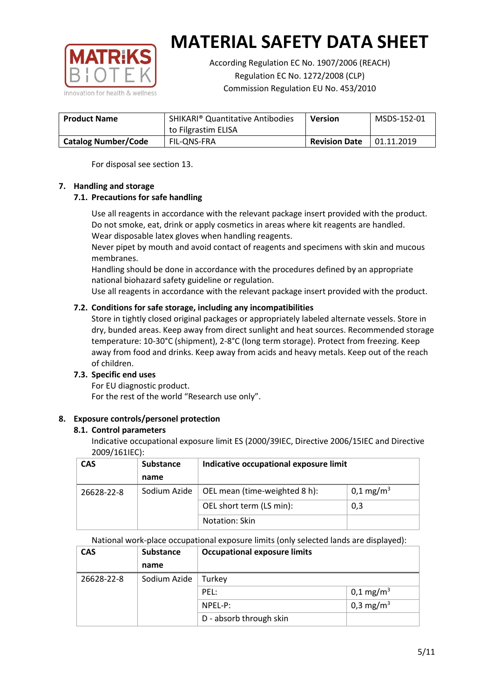

According Regulation EC No. 1907/2006 (REACH) Regulation EC No. 1272/2008 (CLP) Commission Regulation EU No. 453/2010

| <b>Product Name</b>        | <b>SHIKARI</b> <sup>®</sup> Quantitative Antibodies<br>to Filgrastim ELISA | <b>Version</b>       | MSDS-152-01 |
|----------------------------|----------------------------------------------------------------------------|----------------------|-------------|
| <b>Catalog Number/Code</b> | FIL-ONS-FRA                                                                | <b>Revision Date</b> | 01.11.2019  |

For disposal see section 13.

## **7. Handling and storage**

## **7.1. Precautions for safe handling**

Use all reagents in accordance with the relevant package insert provided with the product. Do not smoke, eat, drink or apply cosmetics in areas where kit reagents are handled. Wear disposable latex gloves when handling reagents.

Never pipet by mouth and avoid contact of reagents and specimens with skin and mucous membranes.

Handling should be done in accordance with the procedures defined by an appropriate national biohazard safety guideline or regulation.

Use all reagents in accordance with the relevant package insert provided with the product.

## **7.2. Conditions for safe storage, including any incompatibilities**

Store in tightly closed original packages or appropriately labeled alternate vessels. Store in dry, bunded areas. Keep away from direct sunlight and heat sources. Recommended storage temperature: 10-30°C (shipment), 2-8°C (long term storage). Protect from freezing. Keep away from food and drinks. Keep away from acids and heavy metals. Keep out of the reach of children.

## **7.3. Specific end uses**

For EU diagnostic product. For the rest of the world "Research use only".

## **8. Exposure controls/personel protection**

#### **8.1. Control parameters**

Indicative occupational exposure limit ES (2000/39IEC, Directive 2006/15IEC and Directive 2009/161IEC):

| <b>CAS</b> | <b>Substance</b> | Indicative occupational exposure limit |                       |
|------------|------------------|----------------------------------------|-----------------------|
|            | name             |                                        |                       |
| 26628-22-8 | Sodium Azide     | OEL mean (time-weighted 8 h):          | 0,1 mg/m <sup>3</sup> |
|            |                  | OEL short term (LS min):               | 0,3                   |
|            |                  | Notation: Skin                         |                       |

National work-place occupational exposure limits (only selected lands are displayed):

| <b>CAS</b> | <b>Substance</b> | <b>Occupational exposure limits</b> |                         |  |
|------------|------------------|-------------------------------------|-------------------------|--|
|            | name             |                                     |                         |  |
| 26628-22-8 | Sodium Azide     | Turkey                              |                         |  |
|            |                  | PEL:                                | $0,1 \,\mathrm{mg/m^3}$ |  |
|            |                  | $NPEL-P$ :                          | 0,3 mg/m <sup>3</sup>   |  |
|            |                  | D - absorb through skin             |                         |  |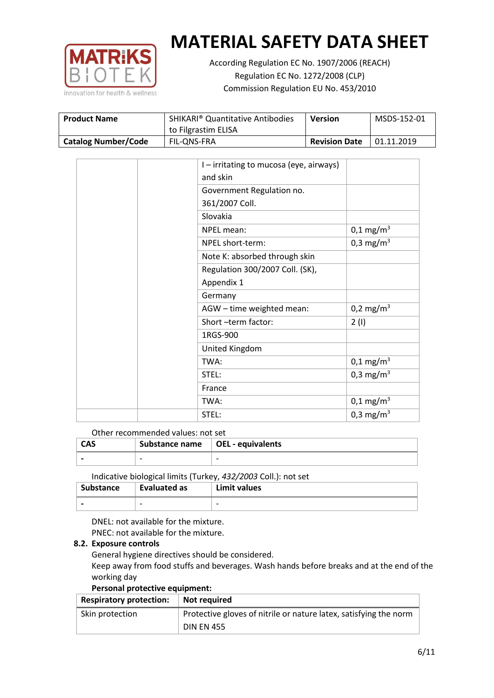

According Regulation EC No. 1907/2006 (REACH) Regulation EC No. 1272/2008 (CLP) Commission Regulation EU No. 453/2010

| <b>Product Name</b>        | <b>SHIKARI<sup>®</sup> Quantitative Antibodies</b><br>to Filgrastim ELISA | <b>Version</b>       | MSDS-152-01 |
|----------------------------|---------------------------------------------------------------------------|----------------------|-------------|
| <b>Catalog Number/Code</b> | FIL-ONS-FRA                                                               | <b>Revision Date</b> | 01.11.2019  |

|  | I – irritating to mucosa (eye, airways) |                         |
|--|-----------------------------------------|-------------------------|
|  | and skin                                |                         |
|  | Government Regulation no.               |                         |
|  | 361/2007 Coll.                          |                         |
|  | Slovakia                                |                         |
|  | NPEL mean:                              | $0,1 \text{ mg/m}^3$    |
|  | NPEL short-term:                        | 0,3 mg/m <sup>3</sup>   |
|  | Note K: absorbed through skin           |                         |
|  | Regulation 300/2007 Coll. (SK),         |                         |
|  | Appendix 1                              |                         |
|  | Germany                                 |                         |
|  | AGW - time weighted mean:               | 0,2 mg/m <sup>3</sup>   |
|  | Short-term factor:                      | 2(1)                    |
|  | 1RGS-900                                |                         |
|  | United Kingdom                          |                         |
|  | TWA:                                    | $0,1 \,\mathrm{mg/m^3}$ |
|  | STEL:                                   | 0,3 mg/m <sup>3</sup>   |
|  | France                                  |                         |
|  | TWA:                                    | $0,1 \text{ mg/m}^3$    |
|  | STEL:                                   | 0,3 mg/m <sup>3</sup>   |

#### Other recommended values: not set

| <b>CAS</b> | Substance name $\vert$ OEL - equivalents |  |
|------------|------------------------------------------|--|
|            | $\overline{\phantom{0}}$                 |  |
|            |                                          |  |

Indicative biological limits (Turkey, *432/2003* Coll.): not set

| <b>Substance</b> | Evaluated as             | Limit values             |
|------------------|--------------------------|--------------------------|
|                  | $\overline{\phantom{0}}$ | $\overline{\phantom{0}}$ |

DNEL: not available for the mixture. PNEC: not available for the mixture.

#### **8.2. Exposure controls**

General hygiene directives should be considered.

Keep away from food stuffs and beverages. Wash hands before breaks and at the end of the working day

#### **Personal protective equipment:**

| <b>Respiratory protection:</b> | Not required                                                      |
|--------------------------------|-------------------------------------------------------------------|
| Skin protection                | Protective gloves of nitrile or nature latex, satisfying the norm |
|                                | <b>DIN EN 455</b>                                                 |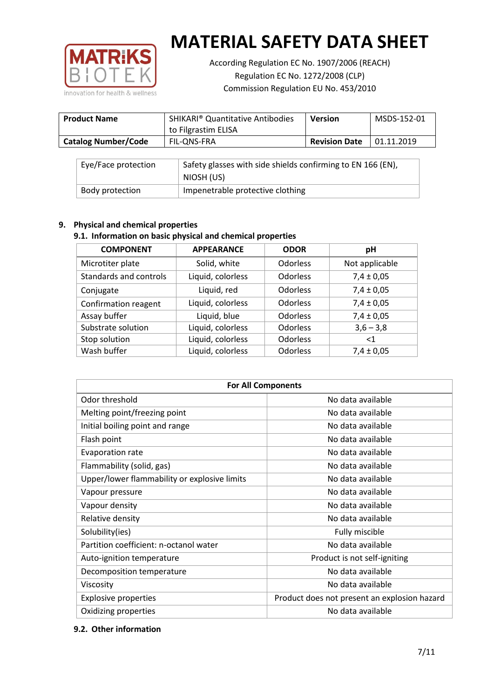

According Regulation EC No. 1907/2006 (REACH) Regulation EC No. 1272/2008 (CLP) Commission Regulation EU No. 453/2010

| <b>Product Name</b>        | <b>SHIKARI<sup>®</sup> Quantitative Antibodies</b><br>to Filgrastim ELISA | <b>Version</b>       | MSDS-152-01 |
|----------------------------|---------------------------------------------------------------------------|----------------------|-------------|
| <b>Catalog Number/Code</b> | FIL-ONS-FRA                                                               | <b>Revision Date</b> | 01.11.2019  |

| Eye/Face protection | Safety glasses with side shields confirming to EN 166 (EN),<br>NIOSH (US) |
|---------------------|---------------------------------------------------------------------------|
| Body protection     | Impenetrable protective clothing                                          |

## **9. Physical and chemical properties**

## **9.1. Information on basic physical and chemical properties**

| <b>COMPONENT</b>       | <b>APPEARANCE</b> | <b>ODOR</b>     | рH             |
|------------------------|-------------------|-----------------|----------------|
| Microtiter plate       | Solid, white      | <b>Odorless</b> | Not applicable |
| Standards and controls | Liquid, colorless | <b>Odorless</b> | $7,4 \pm 0,05$ |
| Conjugate              | Liquid, red       | <b>Odorless</b> | $7,4 \pm 0,05$ |
| Confirmation reagent   | Liquid, colorless | <b>Odorless</b> | $7,4 \pm 0,05$ |
| Assay buffer           | Liquid, blue      | <b>Odorless</b> | $7,4 \pm 0,05$ |
| Substrate solution     | Liquid, colorless | <b>Odorless</b> | $3,6 - 3,8$    |
| Stop solution          | Liquid, colorless | <b>Odorless</b> | $<$ 1          |
| Wash buffer            | Liquid, colorless | Odorless        | $7,4 \pm 0,05$ |

| <b>For All Components</b>                    |                                              |  |  |
|----------------------------------------------|----------------------------------------------|--|--|
| Odor threshold                               | No data available                            |  |  |
| Melting point/freezing point                 | No data available                            |  |  |
| Initial boiling point and range              | No data available                            |  |  |
| Flash point                                  | No data available                            |  |  |
| <b>Evaporation rate</b>                      | No data available                            |  |  |
| Flammability (solid, gas)                    | No data available                            |  |  |
| Upper/lower flammability or explosive limits | No data available                            |  |  |
| Vapour pressure                              | No data available                            |  |  |
| Vapour density                               | No data available                            |  |  |
| Relative density                             | No data available                            |  |  |
| Solubility(ies)                              | Fully miscible                               |  |  |
| Partition coefficient: n-octanol water       | No data available                            |  |  |
| Auto-ignition temperature                    | Product is not self-igniting                 |  |  |
| Decomposition temperature                    | No data available                            |  |  |
| Viscosity                                    | No data available                            |  |  |
| <b>Explosive properties</b>                  | Product does not present an explosion hazard |  |  |
| Oxidizing properties                         | No data available                            |  |  |

#### **9.2. Other information**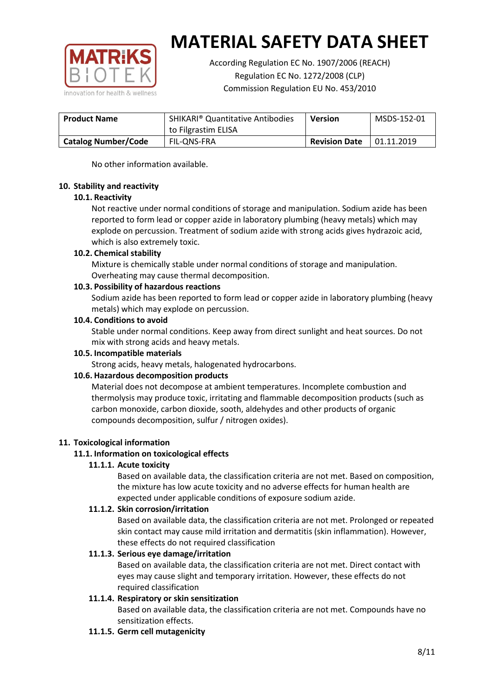

According Regulation EC No. 1907/2006 (REACH) Regulation EC No. 1272/2008 (CLP) Commission Regulation EU No. 453/2010

| <b>Product Name</b>        | <b>SHIKARI</b> <sup>®</sup> Quantitative Antibodies<br>to Filgrastim ELISA | <b>Version</b>       | MSDS-152-01 |
|----------------------------|----------------------------------------------------------------------------|----------------------|-------------|
| <b>Catalog Number/Code</b> | FIL-ONS-FRA                                                                | <b>Revision Date</b> | 01.11.2019  |

No other information available.

### **10. Stability and reactivity**

### **10.1. Reactivity**

Not reactive under normal conditions of storage and manipulation. Sodium azide has been reported to form lead or copper azide in laboratory plumbing (heavy metals) which may explode on percussion. Treatment of sodium azide with strong acids gives hydrazoic acid, which is also extremely toxic.

### **10.2. Chemical stability**

Mixture is chemically stable under normal conditions of storage and manipulation. Overheating may cause thermal decomposition.

### **10.3. Possibility of hazardous reactions**

Sodium azide has been reported to form lead or copper azide in laboratory plumbing (heavy metals) which may explode on percussion.

### **10.4. Conditions to avoid**

Stable under normal conditions. Keep away from direct sunlight and heat sources. Do not mix with strong acids and heavy metals.

#### **10.5. Incompatible materials**

Strong acids, heavy metals, halogenated hydrocarbons.

## **10.6. Hazardous decomposition products**

Material does not decompose at ambient temperatures. Incomplete combustion and thermolysis may produce toxic, irritating and flammable decomposition products (such as carbon monoxide, carbon dioxide, sooth, aldehydes and other products of organic compounds decomposition, sulfur / nitrogen oxides).

## **11. Toxicological information**

## **11.1. Information on toxicological effects**

#### **11.1.1. Acute toxicity**

Based on available data, the classification criteria are not met. Based on composition, the mixture has low acute toxicity and no adverse effects for human health are expected under applicable conditions of exposure sodium azide.

#### **11.1.2. Skin corrosion/irritation**

Based on available data, the classification criteria are not met. Prolonged or repeated skin contact may cause mild irritation and dermatitis (skin inflammation). However, these effects do not required classification

## **11.1.3. Serious eye damage/irritation**

Based on available data, the classification criteria are not met. Direct contact with eyes may cause slight and temporary irritation. However, these effects do not required classification

## **11.1.4. Respiratory or skin sensitization**

Based on available data, the classification criteria are not met. Compounds have no sensitization effects.

#### **11.1.5. Germ cell mutagenicity**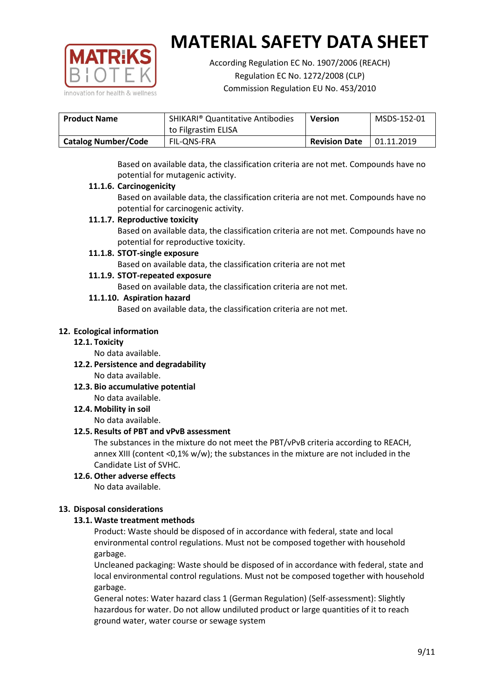

According Regulation EC No. 1907/2006 (REACH) Regulation EC No. 1272/2008 (CLP) Commission Regulation EU No. 453/2010

| <b>SHIKARI</b> <sup>®</sup> Quantitative Antibodies<br><b>Product Name</b> |                     | <b>Version</b>       | MSDS-152-01 |
|----------------------------------------------------------------------------|---------------------|----------------------|-------------|
|                                                                            | to Filgrastim ELISA |                      |             |
| <b>Catalog Number/Code</b>                                                 | FIL-ONS-FRA         | <b>Revision Date</b> | 01.11.2019  |

Based on available data, the classification criteria are not met. Compounds have no potential for mutagenic activity.

### **11.1.6. Carcinogenicity**

Based on available data, the classification criteria are not met. Compounds have no potential for carcinogenic activity.

### **11.1.7. Reproductive toxicity**

Based on available data, the classification criteria are not met. Compounds have no potential for reproductive toxicity.

### **11.1.8. STOT-single exposure**

Based on available data, the classification criteria are not met

### **11.1.9. STOT-repeated exposure**

Based on available data, the classification criteria are not met.

### **11.1.10. Aspiration hazard**

Based on available data, the classification criteria are not met.

### **12. Ecological information**

#### **12.1. Toxicity**

No data available.

- **12.2. Persistence and degradability** No data available.
- **12.3. Bio accumulative potential** No data available.

**12.4. Mobility in soil**

No data available.

## **12.5. Results of PBT and vPvB assessment**

The substances in the mixture do not meet the PBT/vPvB criteria according to REACH, annex XIII (content <0,1% w/w); the substances in the mixture are not included in the Candidate List of SVHC.

#### **12.6. Other adverse effects** No data available.

## **13. Disposal considerations**

## **13.1. Waste treatment methods**

Product: Waste should be disposed of in accordance with federal, state and local environmental control regulations. Must not be composed together with household garbage.

Uncleaned packaging: Waste should be disposed of in accordance with federal, state and local environmental control regulations. Must not be composed together with household garbage.

General notes: Water hazard class 1 (German Regulation) (Self-assessment): Slightly hazardous for water. Do not allow undiluted product or large quantities of it to reach ground water, water course or sewage system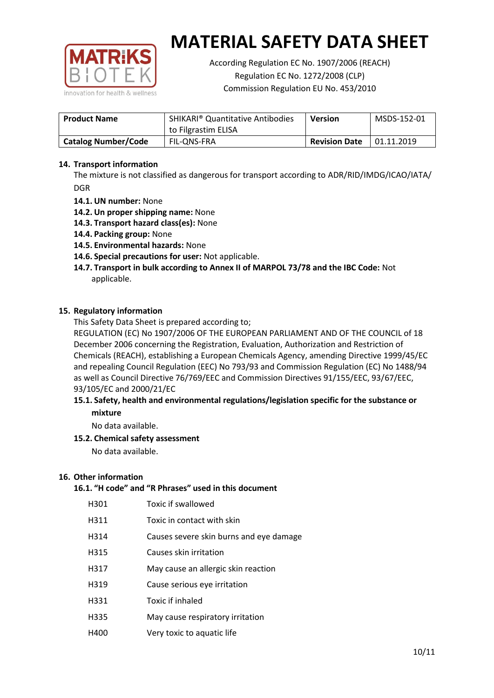

According Regulation EC No. 1907/2006 (REACH) Regulation EC No. 1272/2008 (CLP) Commission Regulation EU No. 453/2010

| <b>Product Name</b>        | <b>SHIKARI<sup>®</sup> Quantitative Antibodies</b><br>to Filgrastim ELISA | <b>Version</b>       | MSDS-152-01 |
|----------------------------|---------------------------------------------------------------------------|----------------------|-------------|
| <b>Catalog Number/Code</b> | FIL-ONS-FRA                                                               | <b>Revision Date</b> | 01.11.2019  |

## **14. Transport information**

The mixture is not classified as dangerous for transport according to ADR/RID/IMDG/ICAO/IATA/ DGR

- **14.1. UN number:** None
- **14.2. Un proper shipping name:** None
- **14.3. Transport hazard class(es):** None
- **14.4. Packing group:** None
- **14.5. Environmental hazards:** None
- **14.6. Special precautions for user:** Not applicable.
- **14.7. Transport in bulk according to Annex II of MARPOL 73/78 and the IBC Code:** Not applicable.

#### **15. Regulatory information**

This Safety Data Sheet is prepared according to;

REGULATION (EC) No 1907/2006 OF THE EUROPEAN PARLIAMENT AND OF THE COUNCIL of 18 December 2006 concerning the Registration, Evaluation, Authorization and Restriction of Chemicals (REACH), establishing a European Chemicals Agency, amending Directive 1999/45/EC and repealing Council Regulation (EEC) No 793/93 and Commission Regulation (EC) No 1488/94 as well as Council Directive 76/769/EEC and Commission Directives 91/155/EEC, 93/67/EEC, 93/105/EC and 2000/21/EC

### **15.1. Safety, health and environmental regulations/legislation specific for the substance or mixture**

No data available.

## **15.2. Chemical safety assessment**

No data available.

#### **16. Other information**

## **16.1. "H code" and "R Phrases" used in this document**

| H301 | Toxic if swallowed |
|------|--------------------|
|------|--------------------|

- H311 Toxic in contact with skin
- H314 Causes severe skin burns and eye damage
- H315 Causes skin irritation
- H317 May cause an allergic skin reaction
- H319 Cause serious eye irritation
- H331 Toxic if inhaled
- H335 May cause respiratory irritation
- H400 Very toxic to aquatic life